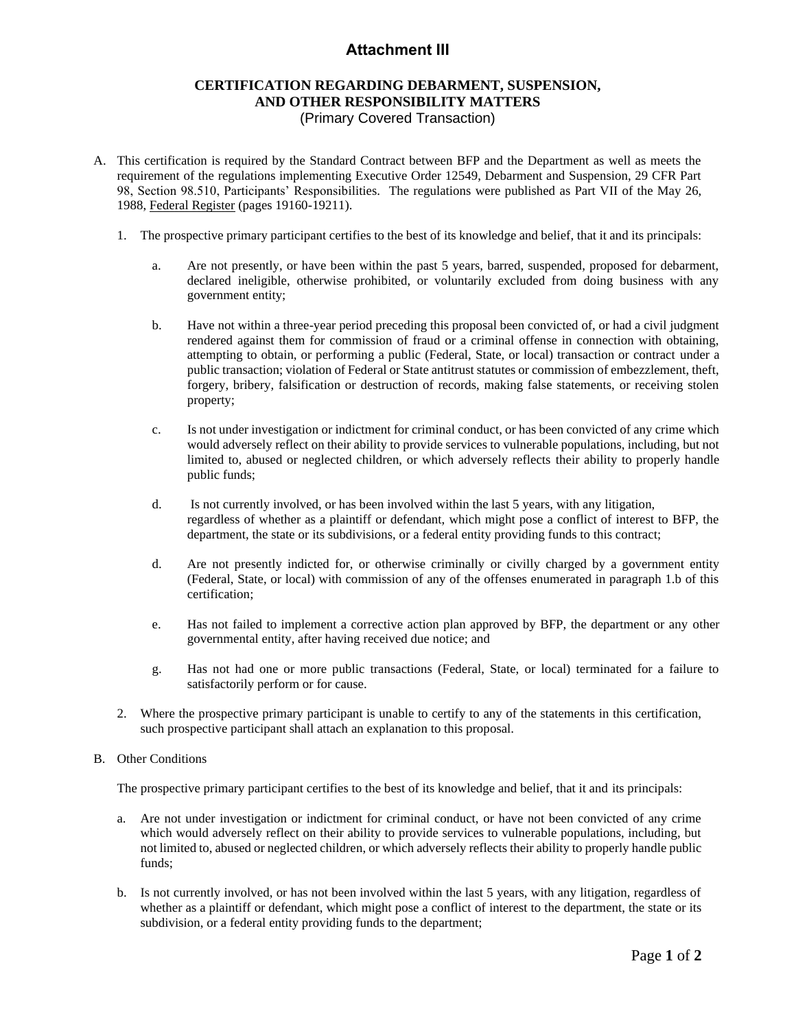## **Attachment III**

## **CERTIFICATION REGARDING DEBARMENT, SUSPENSION, AND OTHER RESPONSIBILITY MATTERS** (Primary Covered Transaction)

- A. This certification is required by the Standard Contract between BFP and the Department as well as meets the requirement of the regulations implementing Executive Order 12549, Debarment and Suspension, 29 CFR Part 98, Section 98.510, Participants' Responsibilities. The regulations were published as Part VII of the May 26, 1988, Federal Register (pages 19160-19211).
	- 1. The prospective primary participant certifies to the best of its knowledge and belief, that it and its principals:
		- a. Are not presently, or have been within the past 5 years, barred, suspended, proposed for debarment, declared ineligible, otherwise prohibited, or voluntarily excluded from doing business with any government entity;
		- b. Have not within a three-year period preceding this proposal been convicted of, or had a civil judgment rendered against them for commission of fraud or a criminal offense in connection with obtaining, attempting to obtain, or performing a public (Federal, State, or local) transaction or contract under a public transaction; violation of Federal or State antitrust statutes or commission of embezzlement, theft, forgery, bribery, falsification or destruction of records, making false statements, or receiving stolen property;
		- c. Is not under investigation or indictment for criminal conduct, or has been convicted of any crime which would adversely reflect on their ability to provide services to vulnerable populations, including, but not limited to, abused or neglected children, or which adversely reflects their ability to properly handle public funds;
		- d. Is not currently involved, or has been involved within the last 5 years, with any litigation, regardless of whether as a plaintiff or defendant, which might pose a conflict of interest to BFP, the department, the state or its subdivisions, or a federal entity providing funds to this contract;
		- d. Are not presently indicted for, or otherwise criminally or civilly charged by a government entity (Federal, State, or local) with commission of any of the offenses enumerated in paragraph 1.b of this certification;
		- e. Has not failed to implement a corrective action plan approved by BFP, the department or any other governmental entity, after having received due notice; and
		- g. Has not had one or more public transactions (Federal, State, or local) terminated for a failure to satisfactorily perform or for cause.
	- 2. Where the prospective primary participant is unable to certify to any of the statements in this certification, such prospective participant shall attach an explanation to this proposal.
- B. Other Conditions

The prospective primary participant certifies to the best of its knowledge and belief, that it and its principals:

- a. Are not under investigation or indictment for criminal conduct, or have not been convicted of any crime which would adversely reflect on their ability to provide services to vulnerable populations, including, but not limited to, abused or neglected children, or which adversely reflects their ability to properly handle public funds;
- b. Is not currently involved, or has not been involved within the last 5 years, with any litigation, regardless of whether as a plaintiff or defendant, which might pose a conflict of interest to the department, the state or its subdivision, or a federal entity providing funds to the department;